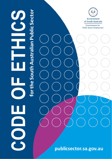



Government of South Australia

Commissioner for **Public Sector Employment** 

publicsector.sa.gov.au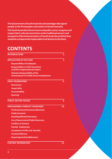**TheGovernmentof SouthAustraliaacknowledgesAboriginal people asthe firstpeoples andnations of SouthAustralia.**

**The SouthAustralianGovernmentandpublic sectorrecogniseand respecttheir culturalconnectionsasthetraditionalownersand occupantsofthe landandwaters of SouthAustralia andthatthey maintainauniqueandirreplaceablecontributiontotheState.**

# **CONTENTS**

| <b>INTRODUCTION</b>                                                                        | з  |
|--------------------------------------------------------------------------------------------|----|
| <b>APPLICATION OF THE CODE</b>                                                             | 4  |
| <b>Responsibility of Employees</b>                                                         |    |
| <b>Responsibility of Chief Executives</b><br>and Other Organisational Leaders              |    |
| <b>Statutory Responsibility of the</b><br><b>Commissioner for Public Sector Employment</b> |    |
| <b>FOUR FOUNDATIONS</b>                                                                    | 6  |
| <b>Democracy</b>                                                                           |    |
| <b>Impartiality</b>                                                                        |    |
| <b>Accountability</b>                                                                      |    |
| <b>Diversity</b>                                                                           |    |
| <b>PUBLIC SECTOR VALUES</b>                                                                | 8  |
| <b>PROFESSIONAL CONDUCT STANDARDS</b>                                                      | 10 |
| <b>Professional and Courteous Behaviour</b>                                                |    |
| <b>PublicComment</b>                                                                       |    |
| <b>Handling Official Information</b>                                                       |    |
| <b>Use of Government/Public Resources</b>                                                  |    |
| <b>Conflicts of Interest</b>                                                               |    |
| <b>Outside Employment</b>                                                                  |    |
| <b>Acceptance of Gifts and Benefits</b>                                                    |    |
| <b>Criminal Offences</b>                                                                   |    |
| ReportingUnethicalBehaviour                                                                |    |
| <b>FURTHER INFORMATION</b>                                                                 | 15 |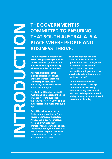# **THEGOVERNMENT IS COMMITTED TO ENSURING THAT SOUTH AUSTRALIA IS A PLACE WHERE PEOPLE AND BUSINESS THRIVE.**

**The public sector mustserve this visionthroughastrong cultureof serviceexcellence,foundedona productive working relationship with communities and business.**

**Aboveall,thisrelationship mustbeestablishedontrust, andtheguaranteethatpublic sector employees will act effectively andwiththe utmost professionalintegrity.**

**This Code of Ethicsfor the South Australian Public Sector isthe Code of Conduct for the purposes of the** *Public Sector Act 2009***, and all public sector employees are bound byit.** Above<br>
must b<br>
and the<br>
sector<br>
effecti<br>
profes:<br>
This Co<br>
Austra<br>
of Com<br>
the Pu<br>
public:<br>
by it.<br>
One of

**Oneofthe primary aimsofthe Actistoembedacultureof "one government"acrossthesector. Althoughpublicsectoremployees work inadiverse rangeof professionsandorganisations,they shouldbeunitedbycommonvalues andstandardsofprofessionalism. These values and standards are articulatedinthisCode.** profess<br>
should<br>
and sta<br>
These<br>
this unique

**T**

**C**

**T**

**ION**

**ThisCode hasbeenupdated toensure itsrelevance tothe opportunitiesandchallengesthat facemodernSouthAustralia. Itincorporatesthe views providedbyemployeesandother stakeholderssince the Code was last issued in 2010.**

**Itisintended thatthe Code will help employees challenge traditionalwaysofworking while maintaining the essential principlesoftheirprofessionand reliablyservingthecommunityand Governmentoftheday.**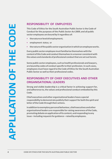#### **RESPONSIBILITY OF EMPLOYEES**

**This Code of Ethicsfor the South Australian Public Sector isthe Code of Conductfor the purposes of the** *Public Sector Act 2009***, and all public sector employees are boundby itregardless of:**

- **• thenatureorlevelofemployment;**
- **• employment status; or**
- **• thenatureofthepublicsectororganisationinwhichanemployeeworks.**

**Everypublic sector employeemustfamiliarise themselveswiththe contentofthisCode andconductthemselvesinamanner consistentwith thevalues andstandardsofprofessional conductthat aresetoutherein.**

**Somepublic sectoremployees,suchashealthprofessionals andlawyers, are bound by codes of conductspecific totheir profession. In such cases, employees must have regard to the Code of Ethicsforthe SouthAustralian Public Sector as well astheir professional codes.**

### **RESPONSIBILITY OF CHIEF EXECUTIVES AND OTHER ORGANISATIONAL LEADERS**

**Strong and visible leadership is a critical factor in achieving support for, and adherence to,the values and professional conduct embodied by this Code.**

**Chief executives andother organisational leaders have a special responsibility todemonstratepublicly theirsupportforboththespiritand letter oftheCodethroughtheir actions.**

**Inadditiontoexemplarypersonalbehaviour,chiefexecutivesandother organisational leaders are responsible forraising awarenessoftheCode, promotingdebateonapplicationofits content,andrespondingtoany issue–including requestsfor guidance– raisedby employees.**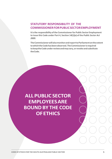#### **STATUTORY RESPONSIBILITY OF THE COMMISSIONER FOR PUBLIC SECTOR EMPLOYMENT**

It is the responsibility of the Commissioner for Public Sector Employment to issue this Code under Part 4, Section 14(1)(a) of the Public Sector Act  $2009$ 

The Commissioner will also monitor and report to Parliament on the extent to which the Code has been observed. The Commissioner is required to keep the Code under review and may vary, or revoke and substitute the Code.

# **ALL PUBLIC SECTOR EMPLOYEES ARE BOUND BY THE CODE OF ETHICS**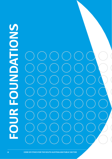# **FOURFOUNDAT I I I I I I I ONS**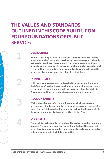# **THE VALUES AND STANDARDS OUTLINEDINTHISCODEBUILDUPON FOUR FOUNDATIONSOF PUBLIC SERVICE:**

#### **DEMOCRACY**

**1**

**2**

**3**

**4**

**Itisthe role ofthe public sectorto supporttheGovernmentoftheday, underlawandtheConstitution,inachievingthecommongood,primarily byproviding servicestothe community.Anemerging featureof South Australia'sdemocracyisahigherlevelofcollaborationbetweenthepublic sector andthecommunity inthe designanddelivery ofservices andthe involvement ofpeople indecisionsthataffecttheirlives.**

#### **IMPARTIALITY**

**Public sectoremployeesmustbe detachedfrompoliticalinfluence and theinfluenceofpartisaninterestswithinthecommunity.Instead,public sectoremployeesmustrely onevidence toprovideobjectiveadviceto Government and implement directions promptly and thoroughly.**

#### **ACCOUNTABILITY**

**Withinabroadsystemofaccountabilityunderwhichministersare accountabletoParliament,public sectoremployeesareaccountablefor exercisingtheirdelegatedauthorityandforperformingtheirrolewithin the valuesandstandardsof conductoutlinedinthisCode.**

### **DIVERSITY**

**The SouthAustralianpublic sectorshouldbeas diverse asthe community itserves. The views andexperiencesof allpeople shouldbe respected, regardlessofnationality,gender,culturalorsocialbackground,sexuality, religion,age,orphysicalorintellectualability.**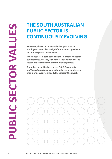# **THE SOUTH AUSTRALIAN PUBLIC SECTOR IS CONTINUOUSLYEVOLVING.**

**Ministers, chief executives andother public sector employeeshavecollectivelydefinedvaluestoguidethe sector's long-term development.**

**Thevalues are,inpart,basedonthetraditionaltenetsof public service. Yetthey also reflectthe evolution ofthe sector,andthemodernworldinwhichitoperates.**

**The values are articulated in the** *Public Sector Values andBehaviours Framework***.Allpublic sectoremployees shouldendeavourtoembodythevaluesintheirwork.**

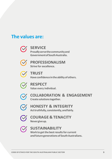# **The values are:**



# **SERVICE**

**Proudlyservethecommunityand GovernmentofSouthAustralia.**



# **PROFESSIONALISM**

**Strive for excellence.**



## **TRUST Haveconfidenceintheabilityofothers.**



**RESPECT Value every individual.**



# **COLLABORATION & ENGAGEMENT Createsolutionstogether.**



## **HONESTY & INTEGRITY Acttruthfully,consistently,andfairly.**



### **COURAGE & TENACITY Nevergiveup.**



### **SUSTAINABILITY**

**Work to getthe bestresultsfor current andfuturegenerationsof SouthAustralians.**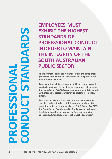# **PROF ESS IONAL CONDUCTS TA NDARDS**

# **EMPLOYEES MUST EXHIBIT THE HIGHEST STANDARDS OF PROFESSIONAL CONDUCT INORDERTOMAINTAIN THE INTEGRITY OF THE SOUTH AUSTRALIAN PUBLIC SECTOR.**

**These professional conduct standards are the disciplinary provisions of the Code of Conduct for the purposes of the** *Public Sector Act 2009.*

**Contraventionorfailuretocomplywiththeseprofessional conductstandardswill constitute misconduct as definedby the** *Public Sector Act 2009***. Any employee who failsto comply withtheseconductstandardsmaybeliable todisciplinary action.**

**Public sector organisations may choose to issue agencyspecific conductstandards.Additionalstandardsmust be consistent with these standards, the** *Public Sector Act 2009***, the** *Public Sector Regulations 2010* **and any other relevant legislation, industrial instrument or Government policy. Suchconductstandardsare nottobelabelledasa'code'.**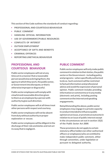**Thissection ofthe Code outlinesthe standards of conductregarding:**

- **• PROFESSIONAL AND COURTEOUS BEHAVIOUR**
- **• PUBLIC COMMENT**
- **• HANDLING OFFICIAL INFORMATION**
- **• USE OF GOVERNMENT/PUBLIC RESOURCES**
- **• CONFLICTS OF INTEREST**
- **• OUTSIDE EMPLOYMENT**
- **• ACCEPTANCE OF GIFTS AND BENEFITS**
- **• CRIMINAL OFFENCES**
- **• REPORTINGUNETHICALBEHAVIOUR**

#### **PROFESSIONAL AND COURTEOUS BEHAVIOUR**

**Public sectoremployeeswillnot atany timeactinamannerthatareasonable personwouldviewasbringingthem,the agencyinwhichtheywork,thepublicsector, orGovernmentintodisrepute;orthatis otherwiseimproperordisgraceful.**

**Publicsectoremployeeswillcomplywith alawfulandreasonabledirectiongiven tothemasanemployeebyapersonwith authoritytogivesuchdirection.**

**Public sector employees will at alltimestreat otherpersonswithrespect andcourtesy.**

**Public sectoremployeeswillnotbeabsent fromdutywithoutauthorityorproper explanation or excuse.**

**Publicsectoremployeeswillbediligentinthe discharge oftheirrole andduties andnot act inawaythatisnegligent.**

#### **PUBLIC COMMENT**

**Publicsectoremployeeswillonlymakepublic commentinrelationtotheirduties,thepublic sectorortheGovernment–includingpolicy andprograms–whenspecificallyauthorised todoso. Suchcommentwillbe restricted tofactualinformationandprofessional adviceandavoidtheexpressionofpersonal opinion. Public comment includes providing informationorcommenttoorinanymedia (electronic and print), including posting commentontheinternetandspeaking engagements.**

**Notwithstandingtheabove,publicsector employeesmayengage inaprivatecapacity inconductintendedtoinfluencepublic opiniononanissue,orpromoteanoutcomein relationto an issue of public interest except in the circumstancesset outin section 15(2) of the** *Public Sector Act 2009.*

**These provisions do not apply tocertain statutory office holders(orother authorised officersor employees)who areentitledto make independent public comment, either through convention, under legislation or pursuant to delegated authority.**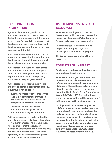### **HANDLING OFFICIAL INFORMATION**

**By virtue oftheir duties, public sector employeesfrequentlyaccess,otherwise deal with, and/or are aware of, information aboutissues, facts and circumstancesthat theyknow,orwhereareasonablepersonin thecircumstanceswouldknow,needstobe treatedas confidential.**

**Public sector employees will not access or attemptto access official information other thaninconnectionwiththeperformanceby themoftheirdutiesand/orasauthorised.**

**Public sector employeeswill not disclose officialinformationacquiredthroughthe courseoftheiremploymentotherthanis requiredbylaworwhereappropriately authorisedintheagencyconcerned.**

**Public sectoremployeeswillnotmisuse informationgainedintheirofficialcapacity, including, but not limited to:**

- **• purchasingsharesorotherpropertyon thebasisof confidentialinformation aboutthe affairs of a business or of aproposedGovernmentaction;or**
- **• seeking touse informationfor personalbenefitor gainorforthe personalbenefitorgainofanother.**

**Publicsectoremployeeswillmaintainthe integrity andsecurity of official information forwhichtheyareresponsible.Employees willalsoensurethatthe privacyof individualsismaintainedandwillonlyrelease informationinaccordancewithrelevant legislation, industrial instruments, policy, orlawfulandreasonabledirection.**

### **USEOFGOVERNMENT/PUBLIC RESOURCES**

**Public sector employeesshall use the Government/publicresourcesthatarethe property oftheCrownefficiently andonly forappropriatepurposesasauthorised.**

**Government/public resources (Crown property)includephysical,fi ancial, technological and intellectual property.**

**TheCrownretainsownershipofthese resources.**

#### **CONFLICTS OF INTEREST**

**Public sectoremployeeswillavoidactualor potential conflicts of interest.**

**Publicsectoremployeeswillensuretheir personalorfinancial interestsdonot influenceorinterferewiththeperformance oftheirrole.Theywillensure the interests offamily members,friends or associates (as defined in the** *Public Sector(Honesty and Accountability) Act 1995***) do not influence theperformancebythemoftheirdutiesand/ ortheirroleasapublic sectoremployee.**

**Employeeswilldisclose inwriting totheir chiefexecutive or agency headany actualor potential conflicts of interest atthe earliest available opportunity and comply with any lawfulandreasonabledirectionissuedbya personwithauthority toissuesuchdirection toresolve the conflict or potential conflict, includingwrittendirectionbyarelevant authority pursuantto the** *Public Sector (Honesty and Accountability) Act 1995***.**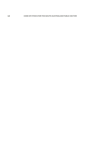**CODE OF ETHICS FOR THE SOUTH AUSTRALIAN PUBLIC SECTOR**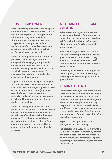#### **OUTSIDE EMPLOYMENT**

**Public sector employees mustnot engage in employmentorotherremunerativeactivity outsideoftheirpublicsectoremployment wheretheactivity conflictswith,orhas thepotentialtoconflictwith,theirrole asapublic sector employee, orifthe performanceofsuchoutsideemployment or activity might affect their capacity to performtheirpublicsector duties.**

**Publicsectoremployeeswillobtainwritten permissionfromtheiragencyheador delegatebeforeengaging inanyoutside employment or remunerative activity (including any employment, work or service forwhichpaymentismadebywayof pay,salary, honorarium, commission, fee, allowance or other reward).**

**Ingeneral, itis notnecessary for employees toobtainpermissiontoinvolvethemselves inorundertakevoluntaryorunpaidactivities orpaidrecreationalactivities(e.g.sport coaching)unlessthere is anactualor potential conflictofinterest betweensuch activity andtheirdutiesand/orroleasa publicsectoremployee.**

**Public sectoremployeeswholeavethe publicsectortoworkwithanon-Government employer will avoid situations which would resultinanunfairadvantagefortheirnew employer.Thisholdsparticularlyinthe case where the employer is bidding for a government contract or is competing for a grant or similar disbursement of public moneys.**

### **ACCEPTANCE OF GIFTS AND BENEFITS**

**Public sector employeeswillnotseek or accept gifts or benefitsfor themselves or othersthat couldbereasonablyperceived asinfluencingthemintheperformance oftheir duties andfunctions as apublic sector employee.**

**Non-pecuniary gifts or benefi s offered toemployees by representatives of other governmentsmaybeaccepted,asmay giftsfrom non-Governmentsourcesif they are obviously mementos or gifts of a symbolic nature.**

**Allemployeeswillcomplywithanypolicies oftheir agency inrelationtoaccepting, declaringand/orrecording thereceiptof gifts or benefits.**

#### **CRIMINALOFFENCES**

**Public sector employeeswill atthe earliest possibleopportunityadvisetheirmanager (oriftheirmanagerisnotavailable,some otherpersoninmanagementintheagency inwhichtheyareemployedorworking)if they arechargedwithacriminaloffence and,ifadmittedorproven,therewouldbea connectionbetweentheoffendingconduct andtheemployee'spublicsectorduties/role orpositionand/orstatus.**

**Reportstoamanager or personin management will be in writing.**

**Publicsectoremployeeswillcomplywithall legislation, industrial instruments, policies andproceduresandlawfulandreasonable directionsrelevanttotheirroleasapublic sectoremployeeand/ortotheperformance oftheirduties.**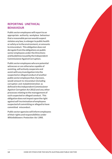### **REPORTING UNETHICAL BEHAVIOUR**

**Public sectoremployeeswillreporttoan appropriate authority workplace behaviour thatareasonablepersonwouldsuspect violatesanylaw,isadangertopublichealth orsafetyortotheenvironment,oramounts tomisconduct. Thisobligationdoesnot derogatefromtheobligationsonpublic sectoremployeesundertheDirections andGuidelinesissuedbytheIndependent CommissionerAgainstCorruption.**

**Public sectoremployeeswhoarepotential witnesses or are otherwise capable of assisting,willactively cooperate and assistwithany investigation intothe suspectedor allegedconductof another publicsectoremployeethat,ifproven, would amount to misconduct (including corruption and maladministration as definedinthe***IndependentCommissioner Against Corruption Act 2012)* **and any other processesrelating tothe management of suchsuspected or alleged conduct. This obligationdoesnotimpactupontheright againstself-incriminationofemployees suspectedof committing or allegedtohave committed misconduct.**

**Public sector agencieswill informemployees oftheirrightsandresponsibilities under** *Whistleblowers Protection Act 1993.*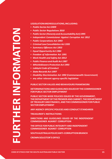#### **LEGISLATIONANDREGULATIONS,INCLUDING:**

- *• Public SectorAct2009*
- *• Public Sector Regulations 2010*
- *• Public Sector(Honesty and AccountabilityAct)1995*
- *• Independent Commissioner Against Corruption Act 2012*
- *• Public Corporations Act 1993*
- *• Criminal LawConsolidation Act 1935*
- *• Summary Offences Act 1953*
- *• Equal Opportunity Act 1984*
- *• Freedom of Information Act 1991*
- *• Work Health and Safety Act 2012*
- *• Public Finance and Audit Act 1987*
- *• Whistleblowers Protection Act 1993*
- *• Lobbyist Code of Conduct*
- *• StateRecordsAct 1997*
- *• Disability Discrimination Act 1992* **(Commonwealth Government)**
- **• any other relevant agency-specific legislation**

#### **PUBLIC SECTOR VALUES AND BEHAVIOURS FRAMEWORK**

**DETERMINATIONSANDGUIDELINES ISSUEDBY THE COMMISSIONER FOR PUBLIC SECTOR EMPLOYMENT**

**PUBLIC SECTOR-WIDE POLICIES ISSUED BY THE GOVERNMENT, THEDEPARTMENTOF THEPREMIERANDCABINET, THEDEPARTMENT OF TREASURYANDFINANCE,ANDTHE COMMISSIONERFORPUBLIC SECTOR EMPLOYMENT** 

**ANY AGENCY-SPECIFIC POLICIES AND CONDUCT STANDARDS**

**TREASURER'S INSTRUCTIONS**

**DIRECTIONS AND GUIDELINES ISSUED BY THE INDEPENDENT COMMISSIONER AGAINST CORRUPTION**

**THEOFFICE FOR PUBLIC INTEGRITY AND INDEPENDENT COMMISSIONER AGAINST CORRUPTION**

**SOUTHAUSTRALIAPOLICEANTI-CORRUPTIONBRANCH**

**CROWNSOLICITOR'SOFFICE**